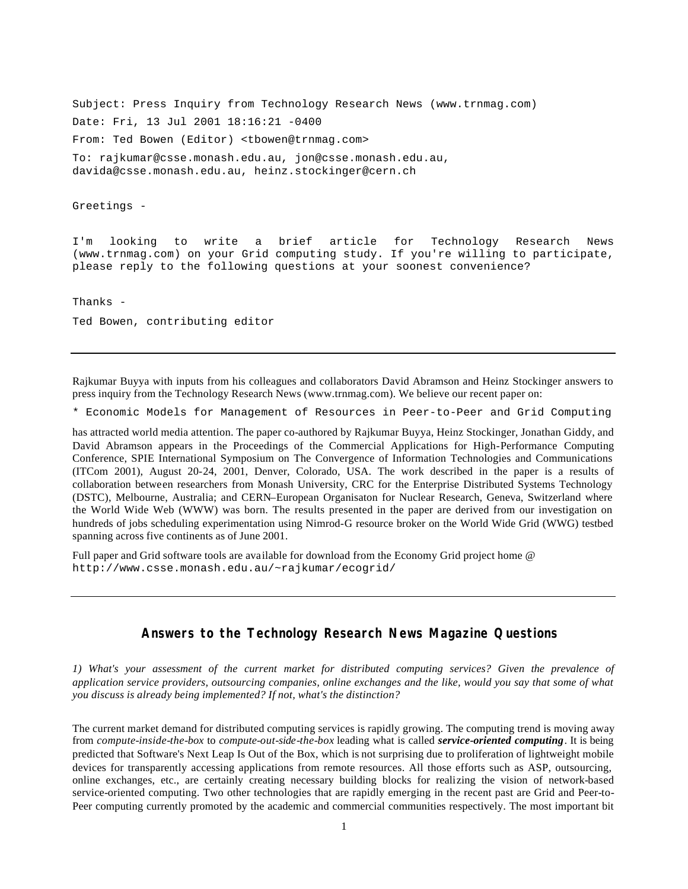Subject: Press Inquiry from Technology Research News (www.trnmag.com) Date: Fri, 13 Jul 2001 18:16:21 -0400 From: Ted Bowen (Editor) <tbowen@trnmag.com> To: rajkumar@csse.monash.edu.au, jon@csse.monash.edu.au, davida@csse.monash.edu.au, heinz.stockinger@cern.ch

Greetings -

I'm looking to write a brief article for Technology Research News (www.trnmag.com) on your Grid computing study. If you're willing to participate, please reply to the following questions at your soonest convenience?

Thanks -

Ted Bowen, contributing editor

Rajkumar Buyya with inputs from his colleagues and collaborators David Abramson and Heinz Stockinger answers to press inquiry from the Technology Research News (www.trnmag.com). We believe our recent paper on:

\* Economic Models for Management of Resources in Peer-to-Peer and Grid Computing

has attracted world media attention. The paper co-authored by Rajkumar Buyya, Heinz Stockinger, Jonathan Giddy, and David Abramson appears in the Proceedings of the Commercial Applications for High-Performance Computing Conference, SPIE International Symposium on The Convergence of Information Technologies and Communications (ITCom 2001), August 20-24, 2001, Denver, Colorado, USA. The work described in the paper is a results of collaboration between researchers from Monash University, CRC for the Enterprise Distributed Systems Technology (DSTC), Melbourne, Australia; and CERN–European Organisaton for Nuclear Research, Geneva, Switzerland where the World Wide Web (WWW) was born. The results presented in the paper are derived from our investigation on hundreds of jobs scheduling experimentation using Nimrod-G resource broker on the World Wide Grid (WWG) testbed spanning across five continents as of June 2001.

Full paper and Grid software tools are available for download from the Economy Grid project home @ http://www.csse.monash.edu.au/~rajkumar/ecogrid/

# **Answers to the Technology Research News Magazine Questions**

*1) What's your assessment of the current market for distributed computing services? Given the prevalence of application service providers, outsourcing companies, online exchanges and the like, would you say that some of what you discuss is already being implemented? If not, what's the distinction?* 

The current market demand for distributed computing services is rapidly growing. The computing trend is moving away from *compute-inside-the-box* to *compute-out-side-the-box* leading what is called *service-oriented computing*. It is being predicted that Software's Next Leap Is Out of the Box, which is not surprising due to proliferation of lightweight mobile devices for transparently accessing applications from remote resources. All those efforts such as ASP, outsourcing, online exchanges, etc., are certainly creating necessary building blocks for realizing the vision of network-based service-oriented computing. Two other technologies that are rapidly emerging in the recent past are Grid and Peer-to-Peer computing currently promoted by the academic and commercial communities respectively. The most important bit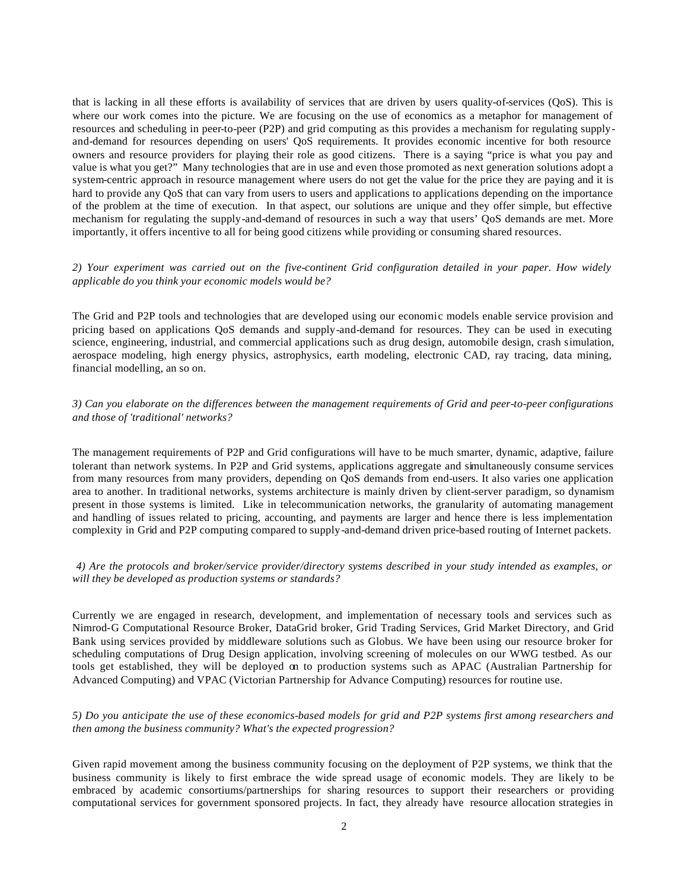that is lacking in all these efforts is availability of services that are driven by users quality-of-services (QoS). This is where our work comes into the picture. We are focusing on the use of economics as a metaphor for management of resources and scheduling in peer-to-peer (P2P) and grid computing as this provides a mechanism for regulating supplyand-demand for resources depending on users' QoS requirements. It provides economic incentive for both resource owners and resource providers for playing their role as good citizens. There is a saying "price is what you pay and value is what you get?" Many technologies that are in use and even those promoted as next generation solutions adopt a system-centric approach in resource management where users do not get the value for the price they are paying and it is hard to provide any QoS that can vary from users to users and applications to applications depending on the importance of the problem at the time of execution. In that aspect, our solutions are unique and they offer simple, but effective mechanism for regulating the supply-and-demand of resources in such a way that users' QoS demands are met. More importantly, it offers incentive to all for being good citizens while providing or consuming shared resources.

## *2) Your experiment was carried out on the five-continent Grid configuration detailed in your paper. How widely applicable do you think your economic models would be?*

The Grid and P2P tools and technologies that are developed using our economic models enable service provision and pricing based on applications QoS demands and supply-and-demand for resources. They can be used in executing science, engineering, industrial, and commercial applications such as drug design, automobile design, crash simulation, aerospace modeling, high energy physics, astrophysics, earth modeling, electronic CAD, ray tracing, data mining, financial modelling, an so on.

### *3) Can you elaborate on the differences between the management requirements of Grid and peer-to-peer configurations and those of 'traditional' networks?*

The management requirements of P2P and Grid configurations will have to be much smarter, dynamic, adaptive, failure tolerant than network systems. In P2P and Grid systems, applications aggregate and simultaneously consume services from many resources from many providers, depending on QoS demands from end-users. It also varies one application area to another. In traditional networks, systems architecture is mainly driven by client-server paradigm, so dynamism present in those systems is limited. Like in telecommunication networks, the granularity of automating management and handling of issues related to pricing, accounting, and payments are larger and hence there is less implementation complexity in Grid and P2P computing compared to supply-and-demand driven price-based routing of Internet packets.

### *4) Are the protocols and broker/service provider/directory systems described in your study intended as examples, or will they be developed as production systems or standards?*

Currently we are engaged in research, development, and implementation of necessary tools and services such as Nimrod-G Computational Resource Broker, DataGrid broker, Grid Trading Services, Grid Market Directory, and Grid Bank using services provided by middleware solutions such as Globus. We have been using our resource broker for scheduling computations of Drug Design application, involving screening of molecules on our WWG testbed. As our tools get established, they will be deployed on to production systems such as APAC (Australian Partnership for Advanced Computing) and VPAC (Victorian Partnership for Advance Computing) resources for routine use.

# *5) Do you anticipate the use of these economics-based models for grid and P2P systems first among researchers and then among the business community? What's the expected progression?*

Given rapid movement among the business community focusing on the deployment of P2P systems, we think that the business community is likely to first embrace the wide spread usage of economic models. They are likely to be embraced by academic consortiums/partnerships for sharing resources to support their researchers or providing computational services for government sponsored projects. In fact, they already have resource allocation strategies in